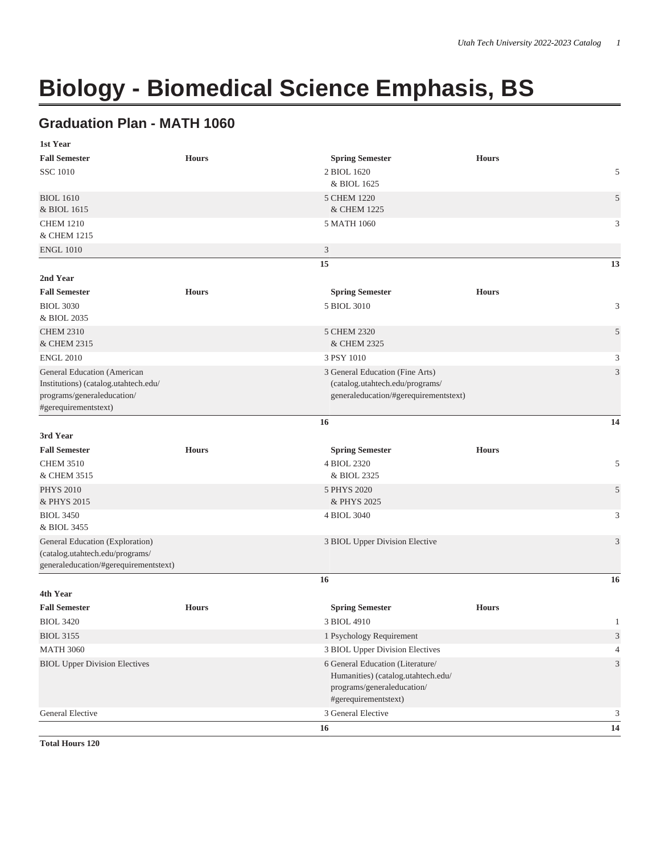## **Biology - Biomedical Science Emphasis, BS**

## **Graduation Plan - MATH 1060**

| 1st Year                              |              |                                       |              |                             |
|---------------------------------------|--------------|---------------------------------------|--------------|-----------------------------|
| <b>Fall Semester</b>                  | <b>Hours</b> | <b>Spring Semester</b>                | <b>Hours</b> |                             |
| <b>SSC 1010</b>                       |              | 2 BIOL 1620                           |              | 5                           |
|                                       |              | & BIOL 1625                           |              |                             |
| <b>BIOL 1610</b>                      |              | 5 CHEM 1220                           |              | $\sqrt{5}$                  |
| & BIOL 1615                           |              | & CHEM 1225                           |              |                             |
| <b>CHEM 1210</b>                      |              | 5 MATH 1060                           |              | 3                           |
| & CHEM 1215                           |              |                                       |              |                             |
| <b>ENGL 1010</b>                      |              | 3                                     |              |                             |
|                                       |              | 15                                    |              | 13                          |
| 2nd Year                              |              |                                       |              |                             |
| <b>Fall Semester</b>                  | <b>Hours</b> | <b>Spring Semester</b>                | <b>Hours</b> |                             |
| <b>BIOL 3030</b>                      |              | 5 BIOL 3010                           |              | 3                           |
| & BIOL 2035                           |              |                                       |              |                             |
| <b>CHEM 2310</b>                      |              | 5 CHEM 2320                           |              | 5                           |
| & CHEM 2315                           |              | & CHEM 2325                           |              |                             |
| <b>ENGL 2010</b>                      |              | 3 PSY 1010                            |              | 3                           |
| General Education (American           |              | 3 General Education (Fine Arts)       |              | $\mathfrak{Z}$              |
| Institutions) (catalog.utahtech.edu/  |              | (catalog.utahtech.edu/programs/       |              |                             |
| programs/generaleducation/            |              | generaleducation/#gerequirementstext) |              |                             |
| #gerequirementstext)                  |              |                                       |              |                             |
|                                       |              | 16                                    |              | 14                          |
| 3rd Year                              |              |                                       |              |                             |
| <b>Fall Semester</b>                  | <b>Hours</b> | <b>Spring Semester</b>                | <b>Hours</b> |                             |
| <b>CHEM 3510</b>                      |              | 4 BIOL 2320                           |              | 5                           |
| & CHEM 3515                           |              | & BIOL 2325                           |              |                             |
| <b>PHYS 2010</b>                      |              | 5 PHYS 2020                           |              | 5                           |
| & PHYS 2015                           |              | & PHYS 2025                           |              |                             |
| <b>BIOL 3450</b>                      |              | 4 BIOL 3040                           |              | 3                           |
| & BIOL 3455                           |              |                                       |              |                             |
| General Education (Exploration)       |              | 3 BIOL Upper Division Elective        |              | 3                           |
| (catalog.utahtech.edu/programs/       |              |                                       |              |                             |
| generaleducation/#gerequirementstext) |              |                                       |              |                             |
|                                       |              | 16                                    |              | 16                          |
| 4th Year                              |              |                                       |              |                             |
| <b>Fall Semester</b>                  | <b>Hours</b> | <b>Spring Semester</b>                | <b>Hours</b> |                             |
| <b>BIOL 3420</b>                      |              | 3 BIOL 4910                           |              | 1                           |
| <b>BIOL 3155</b>                      |              | 1 Psychology Requirement              |              | $\ensuremath{\mathfrak{Z}}$ |
| <b>MATH 3060</b>                      |              | 3 BIOL Upper Division Electives       |              | $\overline{4}$              |
| <b>BIOL Upper Division Electives</b>  |              | 6 General Education (Literature/      |              | $\ensuremath{\mathfrak{Z}}$ |
|                                       |              | Humanities) (catalog.utahtech.edu/    |              |                             |
|                                       |              | programs/generaleducation/            |              |                             |
|                                       |              | #gerequirementstext)                  |              |                             |
| <b>General Elective</b>               |              | 3 General Elective                    |              | 3                           |
|                                       |              | 16                                    |              | 14                          |

**Total Hours 120**